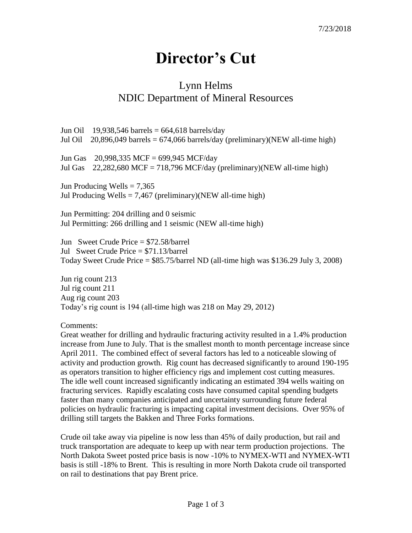## **Director's Cut**

## Lynn Helms NDIC Department of Mineral Resources

Jun Oil 19,938,546 barrels =  $664,618$  barrels/day Jul Oil  $20,896,049$  barrels = 674,066 barrels/day (preliminary)(NEW all-time high)

Jun Gas 20,998,335 MCF = 699,945 MCF/day Jul Gas  $22,282,680$  MCF = 718,796 MCF/day (preliminary)(NEW all-time high)

Jun Producing Wells  $= 7,365$ Jul Producing Wells  $= 7,467$  (preliminary)(NEW all-time high)

Jun Permitting: 204 drilling and 0 seismic Jul Permitting: 266 drilling and 1 seismic (NEW all-time high)

Jun Sweet Crude Price = \$72.58/barrel Jul Sweet Crude Price = \$71.13/barrel Today Sweet Crude Price = \$85.75/barrel ND (all-time high was \$136.29 July 3, 2008)

Jun rig count 213 Jul rig count 211 Aug rig count 203 Today's rig count is 194 (all-time high was 218 on May 29, 2012)

Comments:

Great weather for drilling and hydraulic fracturing activity resulted in a 1.4% production increase from June to July. That is the smallest month to month percentage increase since April 2011. The combined effect of several factors has led to a noticeable slowing of activity and production growth. Rig count has decreased significantly to around 190-195 as operators transition to higher efficiency rigs and implement cost cutting measures. The idle well count increased significantly indicating an estimated 394 wells waiting on fracturing services. Rapidly escalating costs have consumed capital spending budgets faster than many companies anticipated and uncertainty surrounding future federal policies on hydraulic fracturing is impacting capital investment decisions. Over 95% of drilling still targets the Bakken and Three Forks formations.

Crude oil take away via pipeline is now less than 45% of daily production, but rail and truck transportation are adequate to keep up with near term production projections. The North Dakota Sweet posted price basis is now -10% to NYMEX-WTI and NYMEX-WTI basis is still -18% to Brent. This is resulting in more North Dakota crude oil transported on rail to destinations that pay Brent price.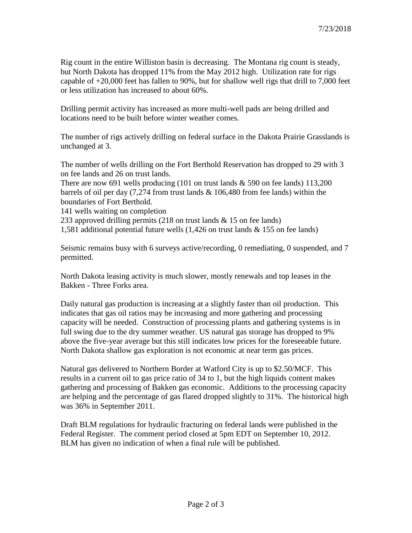Rig count in the entire Williston basin is decreasing. The Montana rig count is steady, but North Dakota has dropped 11% from the May 2012 high. Utilization rate for rigs capable of +20,000 feet has fallen to 90%, but for shallow well rigs that drill to 7,000 feet or less utilization has increased to about 60%.

Drilling permit activity has increased as more multi-well pads are being drilled and locations need to be built before winter weather comes.

The number of rigs actively drilling on federal surface in the Dakota Prairie Grasslands is unchanged at 3.

The number of wells drilling on the Fort Berthold Reservation has dropped to 29 with 3 on fee lands and 26 on trust lands.

There are now 691 wells producing  $(101 \text{ on trust lands} \& 590 \text{ on fee lands})$  113,200 barrels of oil per day (7,274 from trust lands & 106,480 from fee lands) within the boundaries of Fort Berthold.

141 wells waiting on completion

233 approved drilling permits (218 on trust lands & 15 on fee lands)

1,581 additional potential future wells (1,426 on trust lands & 155 on fee lands)

Seismic remains busy with 6 surveys active/recording, 0 remediating, 0 suspended, and 7 permitted.

North Dakota leasing activity is much slower, mostly renewals and top leases in the Bakken - Three Forks area.

Daily natural gas production is increasing at a slightly faster than oil production. This indicates that gas oil ratios may be increasing and more gathering and processing capacity will be needed. Construction of processing plants and gathering systems is in full swing due to the dry summer weather. US natural gas storage has dropped to 9% above the five-year average but this still indicates low prices for the foreseeable future. North Dakota shallow gas exploration is not economic at near term gas prices.

Natural gas delivered to Northern Border at Watford City is up to \$2.50/MCF. This results in a current oil to gas price ratio of 34 to 1, but the high liquids content makes gathering and processing of Bakken gas economic. Additions to the processing capacity are helping and the percentage of gas flared dropped slightly to 31%. The historical high was 36% in September 2011.

Draft BLM regulations for hydraulic fracturing on federal lands were published in the Federal Register. The comment period closed at 5pm EDT on September 10, 2012. BLM has given no indication of when a final rule will be published.